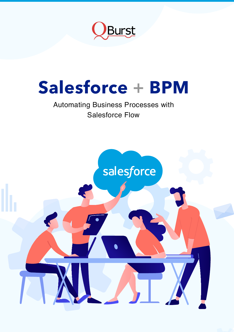

# **Salesforce + BPM**

# Automating Business Processes with Salesforce Flow

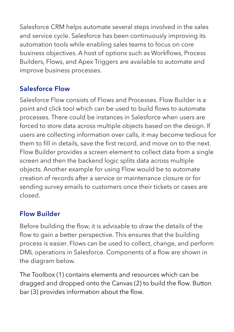Salesforce CRM helps automate several steps involved in the sales and service cycle. Salesforce has been continuously improving its automation tools while enabling sales teams to focus on core business objectives. A host of options such as Workflows, Process Builders, Flows, and Apex Triggers are available to automate and improve business processes.

### **Salesforce Flow**

Salesforce Flow consists of Flows and Processes. Flow Builder is a point and click tool which can be used to build flows to automate processes. There could be instances in Salesforce when users are forced to store data across multiple objects based on the design. If users are collecting information over calls, it may become tedious for them to fill in details, save the first record, and move on to the next. Flow Builder provides a screen element to collect data from a single screen and then the backend logic splits data across multiple objects. Another example for using Flow would be to automate creation of records after a service or maintenance closure or for sending survey emails to customers once their tickets or cases are closed.

#### **Flow Builder**

Before building the flow, it is advisable to draw the details of the flow to gain a better perspective. This ensures that the building process is easier. Flows can be used to collect, change, and perform DML operations in Salesforce. Components of a flow are shown in the diagram below.

The Toolbox (1) contains elements and resources which can be dragged and dropped onto the Canvas (2) to build the flow. Button bar (3) provides information about the flow.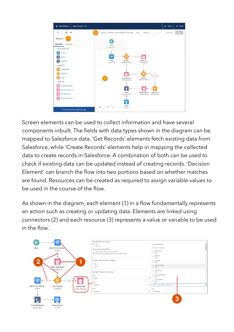

Screen elements can be used to collect information and have several components inbuilt. The fields with data types shown in the diagram can be mapped to Salesforce data. 'Get Records' elements fetch existing data from Salesforce, while 'Create Records' elements help in mapping the collected data to create records in Salesforce. A combination of both can be used to check if existing data can be updated instead of creating records. 'Decision Element' can branch the flow into two portions based on whether matches are found. Resources can be created as required to assign variable values to be used in the course of the flow.

As shown in the diagram, each element (1) in a flow fundamentally represents an action such as creating or updating data. Elements are linked using connectors (2) and each resource (3) represents a value or variable to be used in the flow.